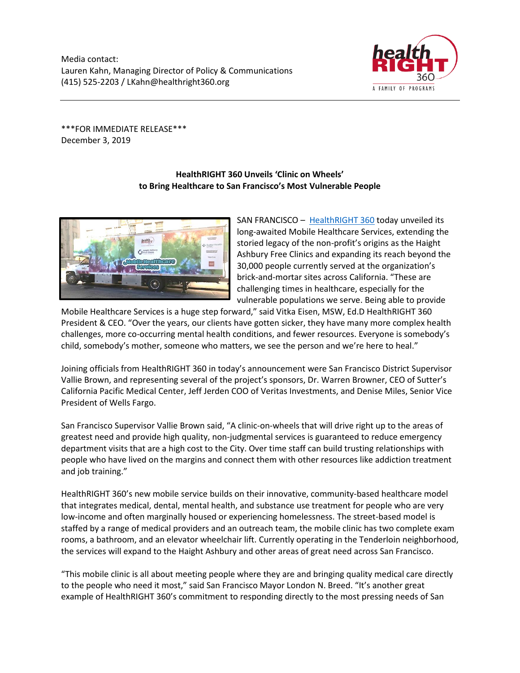

\*\*\*FOR IMMEDIATE RELEASE\*\*\* December 3, 2019

## **HealthRIGHT 360 Unveils 'Clinic on Wheels' to Bring Healthcare to San Francisco's Most Vulnerable People**



SAN FRANCISCO – [HealthRIGHT 360](https://www.healthright360.org/) today unveiled its long-awaited Mobile Healthcare Services, extending the storied legacy of the non-profit's origins as the Haight Ashbury Free Clinics and expanding its reach beyond the 30,000 people currently served at the organization's brick-and-mortar sites across California. "These are challenging times in healthcare, especially for the vulnerable populations we serve. Being able to provide

Mobile Healthcare Services is a huge step forward," said Vitka Eisen, MSW, Ed.D HealthRIGHT 360 President & CEO. "Over the years, our clients have gotten sicker, they have many more complex health challenges, more co-occurring mental health conditions, and fewer resources. Everyone is somebody's child, somebody's mother, someone who matters, we see the person and we're here to heal."

Joining officials from HealthRIGHT 360 in today's announcement were San Francisco District Supervisor Vallie Brown, and representing several of the project's sponsors, Dr. Warren Browner, CEO of Sutter's California Pacific Medical Center, Jeff Jerden COO of Veritas Investments, and Denise Miles, Senior Vice President of Wells Fargo.

San Francisco Supervisor Vallie Brown said, "A clinic-on-wheels that will drive right up to the areas of greatest need and provide high quality, non-judgmental services is guaranteed to reduce emergency department visits that are a high cost to the City. Over time staff can build trusting relationships with people who have lived on the margins and connect them with other resources like addiction treatment and job training."

HealthRIGHT 360's new mobile service builds on their innovative, community-based healthcare model that integrates medical, dental, mental health, and substance use treatment for people who are very low-income and often marginally housed or experiencing homelessness. The street-based model is staffed by a range of medical providers and an outreach team, the mobile clinic has two complete exam rooms, a bathroom, and an elevator wheelchair lift. Currently operating in the Tenderloin neighborhood, the services will expand to the Haight Ashbury and other areas of great need across San Francisco.

"This mobile clinic is all about meeting people where they are and bringing quality medical care directly to the people who need it most," said San Francisco Mayor London N. Breed. "It's another great example of HealthRIGHT 360's commitment to responding directly to the most pressing needs of San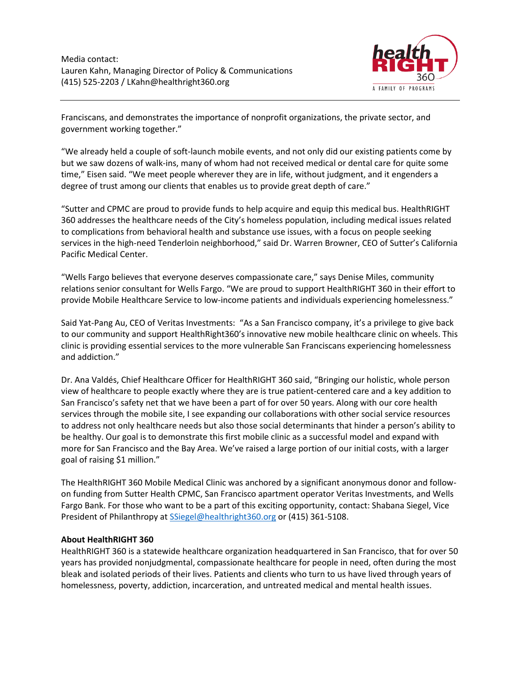

Franciscans, and demonstrates the importance of nonprofit organizations, the private sector, and government working together."

"We already held a couple of soft-launch mobile events, and not only did our existing patients come by but we saw dozens of walk-ins, many of whom had not received medical or dental care for quite some time," Eisen said. "We meet people wherever they are in life, without judgment, and it engenders a degree of trust among our clients that enables us to provide great depth of care."

"Sutter and CPMC are proud to provide funds to help acquire and equip this medical bus. HealthRIGHT 360 addresses the healthcare needs of the City's homeless population, including medical issues related to complications from behavioral health and substance use issues, with a focus on people seeking services in the high-need Tenderloin neighborhood," said Dr. Warren Browner, CEO of Sutter's California Pacific Medical Center.

"Wells Fargo believes that everyone deserves compassionate care," says Denise Miles, community relations senior consultant for Wells Fargo. "We are proud to support HealthRIGHT 360 in their effort to provide Mobile Healthcare Service to low-income patients and individuals experiencing homelessness."

Said Yat-Pang Au, CEO of Veritas Investments: "As a San Francisco company, it's a privilege to give back to our community and support HealthRight360's innovative new mobile healthcare clinic on wheels. This clinic is providing essential services to the more vulnerable San Franciscans experiencing homelessness and addiction."

Dr. Ana Valdés, Chief Healthcare Officer for HealthRIGHT 360 said, "Bringing our holistic, whole person view of healthcare to people exactly where they are is true patient-centered care and a key addition to San Francisco's safety net that we have been a part of for over 50 years. Along with our core health services through the mobile site, I see expanding our collaborations with other social service resources to address not only healthcare needs but also those social determinants that hinder a person's ability to be healthy. Our goal is to demonstrate this first mobile clinic as a successful model and expand with more for San Francisco and the Bay Area. We've raised a large portion of our initial costs, with a larger goal of raising \$1 million."

The HealthRIGHT 360 Mobile Medical Clinic was anchored by a significant anonymous donor and followon funding from Sutter Health CPMC, San Francisco apartment operator Veritas Investments, and Wells Fargo Bank. For those who want to be a part of this exciting opportunity, contact: Shabana Siegel, Vice President of Philanthropy at Ssiegel@healthright360.org or (415) 361-5108.

## **About HealthRIGHT 360**

HealthRIGHT 360 is a statewide healthcare organization headquartered in San Francisco, that for over 50 years has provided nonjudgmental, compassionate healthcare for people in need, often during the most bleak and isolated periods of their lives. Patients and clients who turn to us have lived through years of homelessness, poverty, addiction, incarceration, and untreated medical and mental health issues.